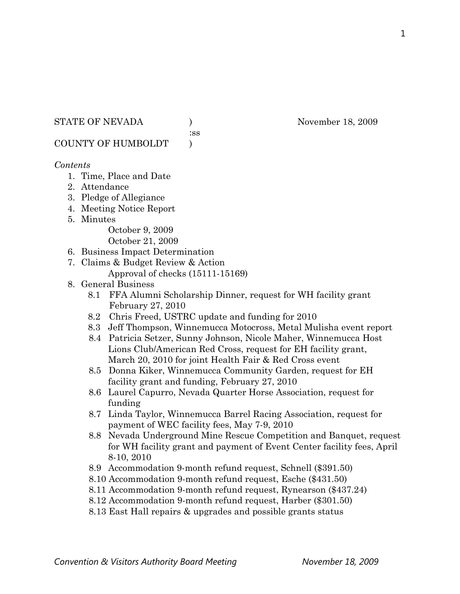STATE OF NEVADA (a) (b) November 18, 2009

:ss

COUNTY OF HUMBOLDT )

## *Contents*

- 1. Time, Place and Date
- 2. Attendance
- 3. Pledge of Allegiance
- 4. Meeting Notice Report
- 5. Minutes

October 9, 2009 October 21, 2009

- 6. Business Impact Determination
- 7. Claims & Budget Review & Action Approval of checks (15111-15169)
- 8. General Business
	- 8.1 FFA Alumni Scholarship Dinner, request for WH facility grant February 27, 2010
	- 8.2 Chris Freed, USTRC update and funding for 2010
	- 8.3 Jeff Thompson, Winnemucca Motocross, Metal Mulisha event report
	- 8.4 Patricia Setzer, Sunny Johnson, Nicole Maher, Winnemucca Host Lions Club/American Red Cross, request for EH facility grant, March 20, 2010 for joint Health Fair & Red Cross event
	- 8.5 Donna Kiker, Winnemucca Community Garden, request for EH facility grant and funding, February 27, 2010
	- 8.6 Laurel Capurro, Nevada Quarter Horse Association, request for funding
	- 8.7 Linda Taylor, Winnemucca Barrel Racing Association, request for payment of WEC facility fees, May 7-9, 2010
	- 8.8 Nevada Underground Mine Rescue Competition and Banquet, request for WH facility grant and payment of Event Center facility fees, April 8-10, 2010
	- 8.9 Accommodation 9-month refund request, Schnell (\$391.50)
	- 8.10 Accommodation 9-month refund request, Esche (\$431.50)
	- 8.11 Accommodation 9-month refund request, Rynearson (\$437.24)
	- 8.12 Accommodation 9-month refund request, Harber (\$301.50)
	- 8.13 East Hall repairs & upgrades and possible grants status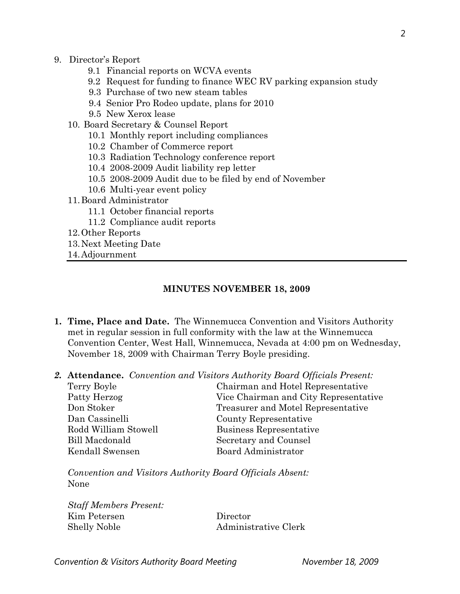- 9. Director's Report
	- 9.1 Financial reports on WCVA events
	- 9.2 Request for funding to finance WEC RV parking expansion study
	- 9.3 Purchase of two new steam tables
	- 9.4 Senior Pro Rodeo update, plans for 2010
	- 9.5 New Xerox lease
	- 10. Board Secretary & Counsel Report
		- 10.1 Monthly report including compliances
		- 10.2 Chamber of Commerce report
		- 10.3 Radiation Technology conference report
		- 10.4 2008-2009 Audit liability rep letter
		- 10.5 2008-2009 Audit due to be filed by end of November
		- 10.6 Multi-year event policy
	- 11.Board Administrator
		- 11.1 October financial reports
		- 11.2 Compliance audit reports
	- 12.Other Reports
	- 13.Next Meeting Date

14.Adjournment

### **MINUTES NOVEMBER 18, 2009**

- **1. Time, Place and Date.** The Winnemucca Convention and Visitors Authority met in regular session in full conformity with the law at the Winnemucca Convention Center, West Hall, Winnemucca, Nevada at 4:00 pm on Wednesday, November 18, 2009 with Chairman Terry Boyle presiding.
- *2.* **Attendance.** *Convention and Visitors Authority Board Officials Present:*

| Terry Boyle          | Chairman and Hotel Representative     |
|----------------------|---------------------------------------|
| Patty Herzog         | Vice Chairman and City Representative |
| Don Stoker           | Treasurer and Motel Representative    |
| Dan Cassinelli       | County Representative                 |
| Rodd William Stowell | Business Representative               |
| Bill Macdonald       | Secretary and Counsel                 |
| Kendall Swensen      | Board Administrator                   |
|                      |                                       |

*Convention and Visitors Authority Board Officials Absent:*  None

*Staff Members Present:*  Kim Petersen Director Shelly Noble Administrative Clerk

Convention & Visitors Authority Board Meeting November 18, 2009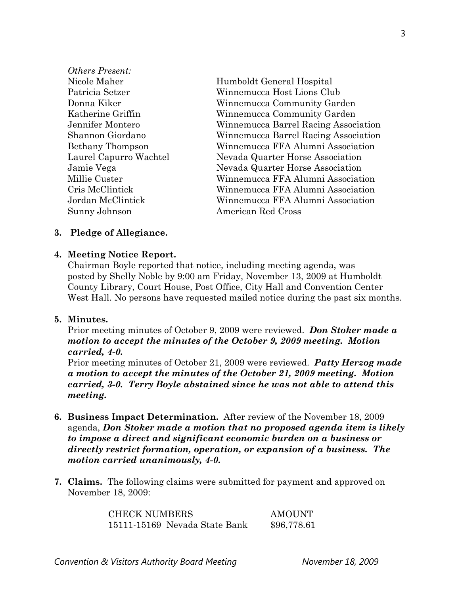| <b>Others Present:</b> |                    |
|------------------------|--------------------|
| Nicole Maher           | Humboldt General H |
| Patricia Setzer        | Winnemucca Host Li |
| Donna Kiker            | Winnemucca Commu   |
| Katherine Griffin      | Winnemucca Commu   |
| Jennifer Montero       | Winnemucca Barrel  |
| Shannon Giordano       | Winnemucca Barrel  |
| Bethany Thompson       | Winnemucca FFA Al  |
| Laurel Capurro Wachtel | Nevada Quarter Hor |
| Jamie Vega             | Nevada Quarter Hor |
| Millie Custer          | Winnemucca FFA Al  |
| Cris McClintick        | Winnemucca FFA Al  |
| Jordan McClintick      | Winnemucca FFA Al  |
| Sunny Johnson          | American Red Cross |

ral Hospital ost Lions Club mmunity Garden mmunity Garden arrel Racing Association arrel Racing Association FA Alumni Association r Horse Association r Horse Association FA Alumni Association FA Alumni Association FA Alumni Association

### **3. Pledge of Allegiance.**

### **4. Meeting Notice Report.**

Chairman Boyle reported that notice, including meeting agenda, was posted by Shelly Noble by 9:00 am Friday, November 13, 2009 at Humboldt County Library, Court House, Post Office, City Hall and Convention Center West Hall. No persons have requested mailed notice during the past six months.

### **5. Minutes.**

Prior meeting minutes of October 9, 2009 were reviewed. *Don Stoker made a motion to accept the minutes of the October 9, 2009 meeting. Motion carried, 4-0.* 

Prior meeting minutes of October 21, 2009 were reviewed. *Patty Herzog made a motion to accept the minutes of the October 21, 2009 meeting. Motion carried, 3-0. Terry Boyle abstained since he was not able to attend this meeting.* 

- **6. Business Impact Determination.** After review of the November 18, 2009 agenda, *Don Stoker made a motion that no proposed agenda item is likely to impose a direct and significant economic burden on a business or directly restrict formation, operation, or expansion of a business. The motion carried unanimously, 4-0.*
- **7. Claims.** The following claims were submitted for payment and approved on November 18, 2009:

CHECK NUMBERS AMOUNT 15111-15169 Nevada State Bank \$96,778.61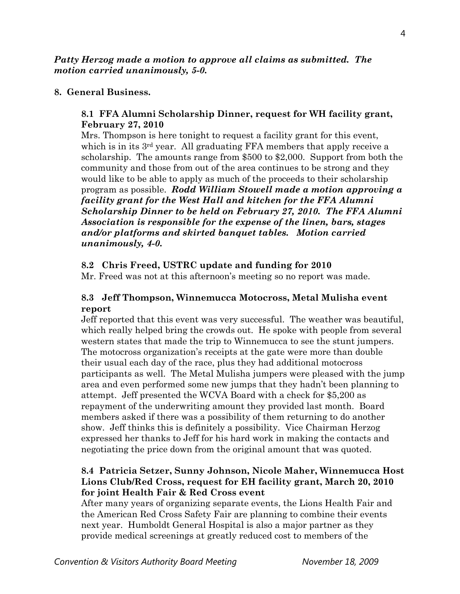## *Patty Herzog made a motion to approve all claims as submitted. The motion carried unanimously, 5-0.*

## **8. General Business.**

# **8.1 FFA Alumni Scholarship Dinner, request for WH facility grant, February 27, 2010**

Mrs. Thompson is here tonight to request a facility grant for this event, which is in its  $3<sup>rd</sup>$  year. All graduating FFA members that apply receive a scholarship. The amounts range from \$500 to \$2,000. Support from both the community and those from out of the area continues to be strong and they would like to be able to apply as much of the proceeds to their scholarship program as possible. *Rodd William Stowell made a motion approving a facility grant for the West Hall and kitchen for the FFA Alumni Scholarship Dinner to be held on February 27, 2010. The FFA Alumni Association is responsible for the expense of the linen, bars, stages and/or platforms and skirted banquet tables. Motion carried unanimously, 4-0.* 

# **8.2 Chris Freed, USTRC update and funding for 2010**

Mr. Freed was not at this afternoon's meeting so no report was made.

# **8.3 Jeff Thompson, Winnemucca Motocross, Metal Mulisha event report**

Jeff reported that this event was very successful. The weather was beautiful, which really helped bring the crowds out. He spoke with people from several western states that made the trip to Winnemucca to see the stunt jumpers. The motocross organization's receipts at the gate were more than double their usual each day of the race, plus they had additional motocross participants as well. The Metal Mulisha jumpers were pleased with the jump area and even performed some new jumps that they hadn't been planning to attempt. Jeff presented the WCVA Board with a check for \$5,200 as repayment of the underwriting amount they provided last month. Board members asked if there was a possibility of them returning to do another show. Jeff thinks this is definitely a possibility. Vice Chairman Herzog expressed her thanks to Jeff for his hard work in making the contacts and negotiating the price down from the original amount that was quoted.

# **8.4 Patricia Setzer, Sunny Johnson, Nicole Maher, Winnemucca Host Lions Club/Red Cross, request for EH facility grant, March 20, 2010 for joint Health Fair & Red Cross event**

After many years of organizing separate events, the Lions Health Fair and the American Red Cross Safety Fair are planning to combine their events next year. Humboldt General Hospital is also a major partner as they provide medical screenings at greatly reduced cost to members of the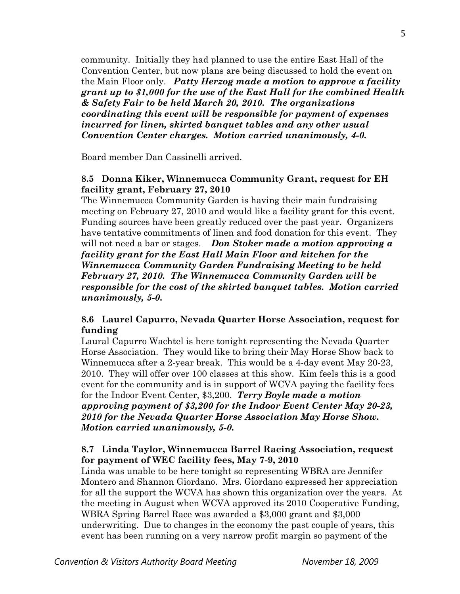community. Initially they had planned to use the entire East Hall of the Convention Center, but now plans are being discussed to hold the event on the Main Floor only. *Patty Herzog made a motion to approve a facility grant up to \$1,000 for the use of the East Hall for the combined Health & Safety Fair to be held March 20, 2010. The organizations coordinating this event will be responsible for payment of expenses incurred for linen, skirted banquet tables and any other usual Convention Center charges. Motion carried unanimously, 4-0.* 

Board member Dan Cassinelli arrived.

## **8.5 Donna Kiker, Winnemucca Community Grant, request for EH facility grant, February 27, 2010**

The Winnemucca Community Garden is having their main fundraising meeting on February 27, 2010 and would like a facility grant for this event. Funding sources have been greatly reduced over the past year. Organizers have tentative commitments of linen and food donation for this event. They will not need a bar or stages. *Don Stoker made a motion approving a facility grant for the East Hall Main Floor and kitchen for the Winnemucca Community Garden Fundraising Meeting to be held February 27, 2010. The Winnemucca Community Garden will be responsible for the cost of the skirted banquet tables. Motion carried unanimously, 5-0.* 

## **8.6 Laurel Capurro, Nevada Quarter Horse Association, request for funding**

Laural Capurro Wachtel is here tonight representing the Nevada Quarter Horse Association. They would like to bring their May Horse Show back to Winnemucca after a 2-year break. This would be a 4-day event May 20-23, 2010. They will offer over 100 classes at this show. Kim feels this is a good event for the community and is in support of WCVA paying the facility fees for the Indoor Event Center, \$3,200. *Terry Boyle made a motion approving payment of \$3,200 for the Indoor Event Center May 20-23, 2010 for the Nevada Quarter Horse Association May Horse Show. Motion carried unanimously, 5-0.* 

## **8.7 Linda Taylor, Winnemucca Barrel Racing Association, request for payment of WEC facility fees, May 7-9, 2010**

Linda was unable to be here tonight so representing WBRA are Jennifer Montero and Shannon Giordano. Mrs. Giordano expressed her appreciation for all the support the WCVA has shown this organization over the years. At the meeting in August when WCVA approved its 2010 Cooperative Funding, WBRA Spring Barrel Race was awarded a \$3,000 grant and \$3,000 underwriting. Due to changes in the economy the past couple of years, this event has been running on a very narrow profit margin so payment of the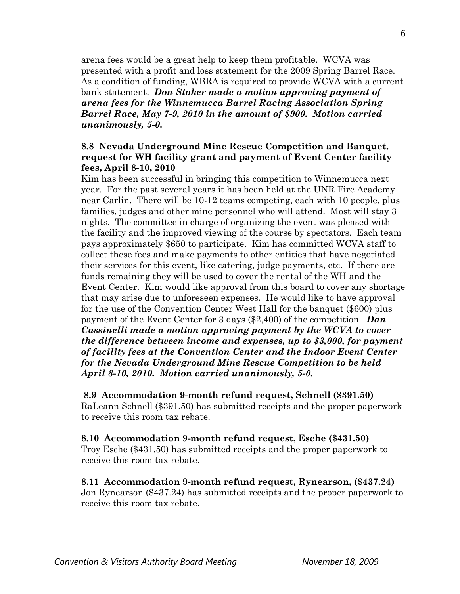arena fees would be a great help to keep them profitable. WCVA was presented with a profit and loss statement for the 2009 Spring Barrel Race. As a condition of funding, WBRA is required to provide WCVA with a current bank statement. *Don Stoker made a motion approving payment of arena fees for the Winnemucca Barrel Racing Association Spring Barrel Race, May 7-9, 2010 in the amount of \$900. Motion carried unanimously, 5-0.* 

## **8.8 Nevada Underground Mine Rescue Competition and Banquet, request for WH facility grant and payment of Event Center facility fees, April 8-10, 2010**

Kim has been successful in bringing this competition to Winnemucca next year. For the past several years it has been held at the UNR Fire Academy near Carlin. There will be 10-12 teams competing, each with 10 people, plus families, judges and other mine personnel who will attend. Most will stay 3 nights. The committee in charge of organizing the event was pleased with the facility and the improved viewing of the course by spectators. Each team pays approximately \$650 to participate. Kim has committed WCVA staff to collect these fees and make payments to other entities that have negotiated their services for this event, like catering, judge payments, etc. If there are funds remaining they will be used to cover the rental of the WH and the Event Center. Kim would like approval from this board to cover any shortage that may arise due to unforeseen expenses. He would like to have approval for the use of the Convention Center West Hall for the banquet (\$600) plus payment of the Event Center for 3 days (\$2,400) of the competition. *Dan Cassinelli made a motion approving payment by the WCVA to cover the difference between income and expenses, up to \$3,000, for payment of facility fees at the Convention Center and the Indoor Event Center for the Nevada Underground Mine Rescue Competition to be held April 8-10, 2010. Motion carried unanimously, 5-0.* 

## **8.9 Accommodation 9-month refund request, Schnell (\$391.50)**

RaLeann Schnell (\$391.50) has submitted receipts and the proper paperwork to receive this room tax rebate.

### **8.10 Accommodation 9-month refund request, Esche (\$431.50)**

Troy Esche (\$431.50) has submitted receipts and the proper paperwork to receive this room tax rebate.

**8.11 Accommodation 9-month refund request, Rynearson, (\$437.24)**  Jon Rynearson (\$437.24) has submitted receipts and the proper paperwork to receive this room tax rebate.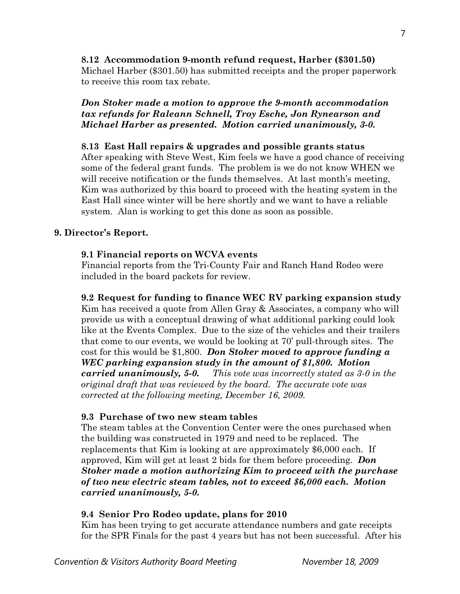# **8.12 Accommodation 9-month refund request, Harber (\$301.50)**

Michael Harber (\$301.50) has submitted receipts and the proper paperwork to receive this room tax rebate.

# *Don Stoker made a motion to approve the 9-month accommodation tax refunds for Raleann Schnell, Troy Esche, Jon Rynearson and Michael Harber as presented. Motion carried unanimously, 3-0.*

## **8.13 East Hall repairs & upgrades and possible grants status**

After speaking with Steve West, Kim feels we have a good chance of receiving some of the federal grant funds. The problem is we do not know WHEN we will receive notification or the funds themselves. At last month's meeting, Kim was authorized by this board to proceed with the heating system in the East Hall since winter will be here shortly and we want to have a reliable system. Alan is working to get this done as soon as possible.

# **9. Director's Report.**

# **9.1 Financial reports on WCVA events**

Financial reports from the Tri-County Fair and Ranch Hand Rodeo were included in the board packets for review.

**9.2 Request for funding to finance WEC RV parking expansion study**  Kim has received a quote from Allen Gray & Associates, a company who will provide us with a conceptual drawing of what additional parking could look like at the Events Complex. Due to the size of the vehicles and their trailers that come to our events, we would be looking at 70' pull-through sites. The cost for this would be \$1,800. *Don Stoker moved to approve funding a WEC parking expansion study in the amount of \$1,800. Motion carried unanimously, 5-0. This vote was incorrectly stated as 3-0 in the original draft that was reviewed by the board. The accurate vote was corrected at the following meeting, December 16, 2009.* 

# **9.3 Purchase of two new steam tables**

The steam tables at the Convention Center were the ones purchased when the building was constructed in 1979 and need to be replaced. The replacements that Kim is looking at are approximately \$6,000 each. If approved, Kim will get at least 2 bids for them before proceeding. *Don Stoker made a motion authorizing Kim to proceed with the purchase of two new electric steam tables, not to exceed \$6,000 each. Motion carried unanimously, 5-0.* 

# **9.4 Senior Pro Rodeo update, plans for 2010**

Kim has been trying to get accurate attendance numbers and gate receipts for the SPR Finals for the past 4 years but has not been successful. After his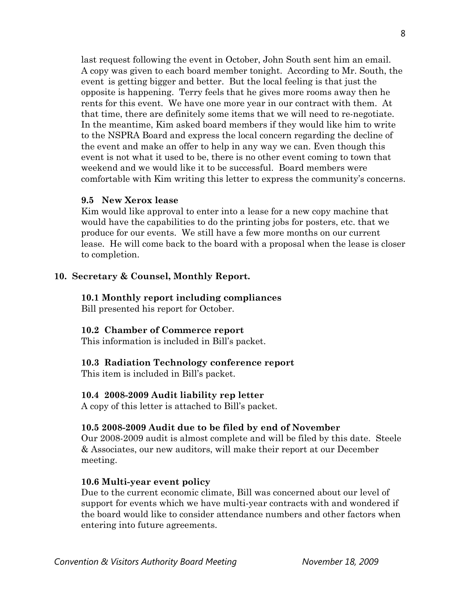last request following the event in October, John South sent him an email. A copy was given to each board member tonight. According to Mr. South, the event is getting bigger and better. But the local feeling is that just the opposite is happening. Terry feels that he gives more rooms away then he rents for this event. We have one more year in our contract with them. At that time, there are definitely some items that we will need to re-negotiate. In the meantime, Kim asked board members if they would like him to write to the NSPRA Board and express the local concern regarding the decline of the event and make an offer to help in any way we can. Even though this event is not what it used to be, there is no other event coming to town that weekend and we would like it to be successful. Board members were comfortable with Kim writing this letter to express the community's concerns.

## **9.5 New Xerox lease**

Kim would like approval to enter into a lease for a new copy machine that would have the capabilities to do the printing jobs for posters, etc. that we produce for our events. We still have a few more months on our current lease. He will come back to the board with a proposal when the lease is closer to completion.

## **10. Secretary & Counsel, Monthly Report.**

### **10.1 Monthly report including compliances**

Bill presented his report for October.

### **10.2 Chamber of Commerce report**

This information is included in Bill's packet.

### **10.3 Radiation Technology conference report**

This item is included in Bill's packet.

### **10.4 2008-2009 Audit liability rep letter**

A copy of this letter is attached to Bill's packet.

### **10.5 2008-2009 Audit due to be filed by end of November**

Our 2008-2009 audit is almost complete and will be filed by this date. Steele & Associates, our new auditors, will make their report at our December meeting.

### **10.6 Multi-year event policy**

Due to the current economic climate, Bill was concerned about our level of support for events which we have multi-year contracts with and wondered if the board would like to consider attendance numbers and other factors when entering into future agreements.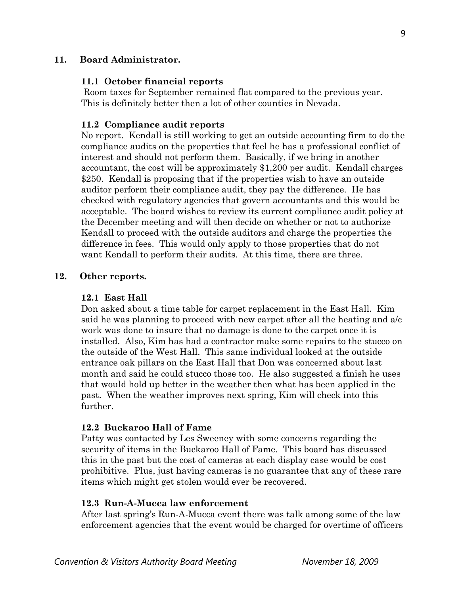## **11. Board Administrator.**

### **11.1 October financial reports**

 Room taxes for September remained flat compared to the previous year. This is definitely better then a lot of other counties in Nevada.

### **11.2 Compliance audit reports**

 No report. Kendall is still working to get an outside accounting firm to do the compliance audits on the properties that feel he has a professional conflict of interest and should not perform them. Basically, if we bring in another accountant, the cost will be approximately \$1,200 per audit. Kendall charges \$250. Kendall is proposing that if the properties wish to have an outside auditor perform their compliance audit, they pay the difference. He has checked with regulatory agencies that govern accountants and this would be acceptable. The board wishes to review its current compliance audit policy at the December meeting and will then decide on whether or not to authorize Kendall to proceed with the outside auditors and charge the properties the difference in fees. This would only apply to those properties that do not want Kendall to perform their audits. At this time, there are three.

### **12. Other reports.**

### **12.1 East Hall**

Don asked about a time table for carpet replacement in the East Hall. Kim said he was planning to proceed with new carpet after all the heating and a/c work was done to insure that no damage is done to the carpet once it is installed. Also, Kim has had a contractor make some repairs to the stucco on the outside of the West Hall. This same individual looked at the outside entrance oak pillars on the East Hall that Don was concerned about last month and said he could stucco those too. He also suggested a finish he uses that would hold up better in the weather then what has been applied in the past. When the weather improves next spring, Kim will check into this further.

## **12.2 Buckaroo Hall of Fame**

Patty was contacted by Les Sweeney with some concerns regarding the security of items in the Buckaroo Hall of Fame. This board has discussed this in the past but the cost of cameras at each display case would be cost prohibitive. Plus, just having cameras is no guarantee that any of these rare items which might get stolen would ever be recovered.

### **12.3 Run-A-Mucca law enforcement**

After last spring's Run-A-Mucca event there was talk among some of the law enforcement agencies that the event would be charged for overtime of officers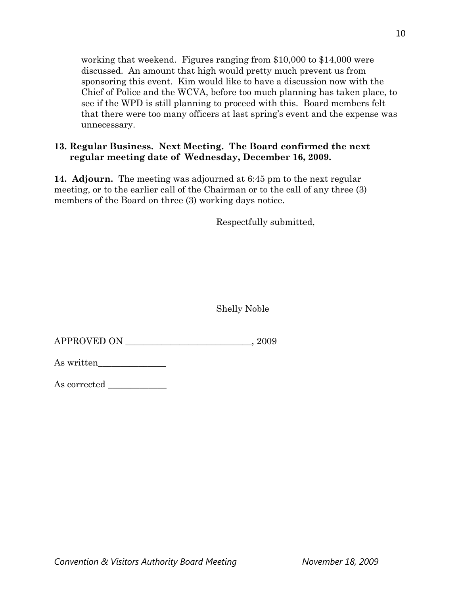working that weekend. Figures ranging from \$10,000 to \$14,000 were discussed. An amount that high would pretty much prevent us from sponsoring this event. Kim would like to have a discussion now with the Chief of Police and the WCVA, before too much planning has taken place, to see if the WPD is still planning to proceed with this. Board members felt that there were too many officers at last spring's event and the expense was

# **13. Regular Business. Next Meeting. The Board confirmed the next regular meeting date of Wednesday, December 16, 2009.**

**14. Adjourn.** The meeting was adjourned at 6:45 pm to the next regular meeting, or to the earlier call of the Chairman or to the call of any three (3) members of the Board on three (3) working days notice.

Respectfully submitted,

Shelly Noble

APPROVED ON \_\_\_\_\_\_\_\_\_\_\_\_\_\_\_\_\_\_\_\_\_\_\_\_\_\_\_\_, 2009

unnecessary.

As corrected